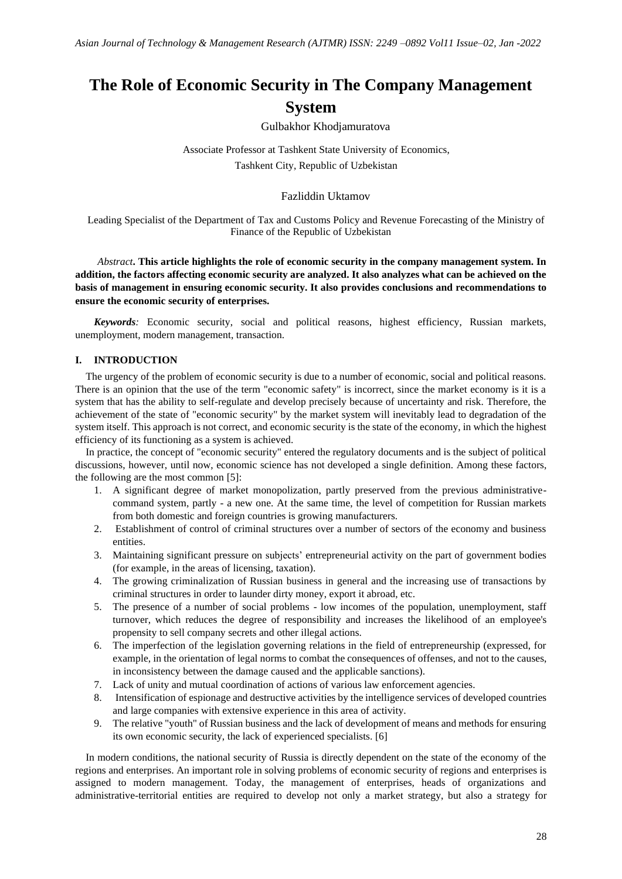# **The Role of Economic Security in The Company Management System**

Gulbakhor Khodjamuratova

Associate Professor at Tashkent State University of Economics, Tashkent City, Republic of Uzbekistan

## Fazliddin Uktamov

Leading Specialist of the Department of Tax and Customs Policy and Revenue Forecasting of the Ministry of Finance of the Republic of Uzbekistan

# *Abstract***. This article highlights the role of economic security in the company management system. In addition, the factors affecting economic security are analyzed. It also analyzes what can be achieved on the basis of management in ensuring economic security. It also provides conclusions and recommendations to ensure the economic security of enterprises.**

*Keywords:* Economic security, social and political reasons, highest efficiency, Russian markets, unemployment, modern management, transaction.

# **I. INTRODUCTION**

The urgency of the problem of economic security is due to a number of economic, social and political reasons. There is an opinion that the use of the term "economic safety" is incorrect, since the market economy is it is a system that has the ability to self-regulate and develop precisely because of uncertainty and risk. Therefore, the achievement of the state of "economic security" by the market system will inevitably lead to degradation of the system itself. This approach is not correct, and economic security is the state of the economy, in which the highest efficiency of its functioning as a system is achieved.

In practice, the concept of "economic security" entered the regulatory documents and is the subject of political discussions, however, until now, economic science has not developed a single definition. Among these factors, the following are the most common [5]:

- 1. A significant degree of market monopolization, partly preserved from the previous administrativecommand system, partly - a new one. At the same time, the level of competition for Russian markets from both domestic and foreign countries is growing manufacturers.
- 2. Establishment of control of criminal structures over a number of sectors of the economy and business entities.
- 3. Maintaining significant pressure on subjects' entrepreneurial activity on the part of government bodies (for example, in the areas of licensing, taxation).
- 4. The growing criminalization of Russian business in general and the increasing use of transactions by criminal structures in order to launder dirty money, export it abroad, etc.
- 5. The presence of a number of social problems low incomes of the population, unemployment, staff turnover, which reduces the degree of responsibility and increases the likelihood of an employee's propensity to sell company secrets and other illegal actions.
- 6. The imperfection of the legislation governing relations in the field of entrepreneurship (expressed, for example, in the orientation of legal norms to combat the consequences of offenses, and not to the causes, in inconsistency between the damage caused and the applicable sanctions).
- 7. Lack of unity and mutual coordination of actions of various law enforcement agencies.
- 8. Intensification of espionage and destructive activities by the intelligence services of developed countries and large companies with extensive experience in this area of activity.
- 9. The relative "youth" of Russian business and the lack of development of means and methods for ensuring its own economic security, the lack of experienced specialists. [6]

In modern conditions, the national security of Russia is directly dependent on the state of the economy of the regions and enterprises. An important role in solving problems of economic security of regions and enterprises is assigned to modern management. Today, the management of enterprises, heads of organizations and administrative-territorial entities are required to develop not only a market strategy, but also a strategy for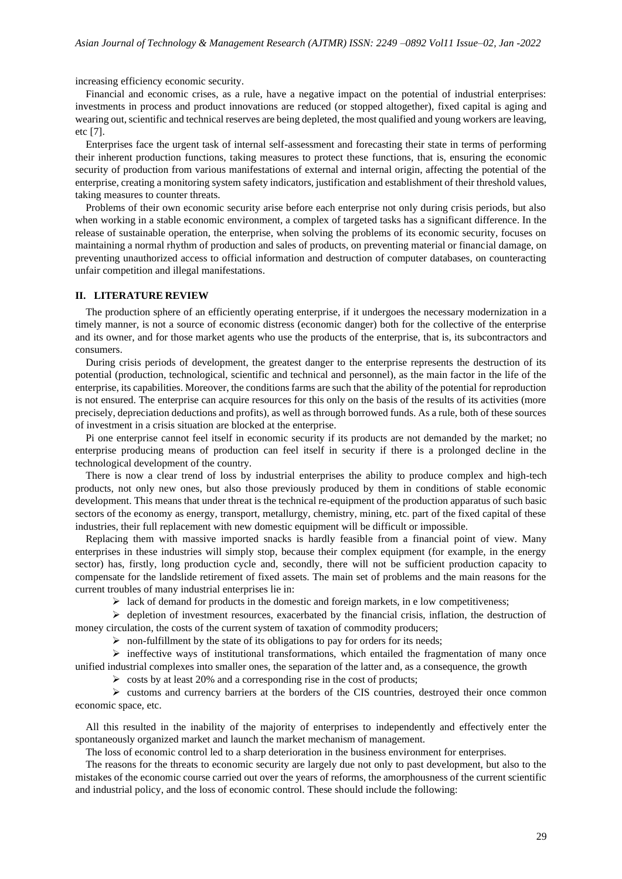increasing efficiency economic security.

Financial and economic crises, as a rule, have a negative impact on the potential of industrial enterprises: investments in process and product innovations are reduced (or stopped altogether), fixed capital is aging and wearing out, scientific and technical reserves are being depleted, the most qualified and young workers are leaving, etc [7].

Enterprises face the urgent task of internal self-assessment and forecasting their state in terms of performing their inherent production functions, taking measures to protect these functions, that is, ensuring the economic security of production from various manifestations of external and internal origin, affecting the potential of the enterprise, creating a monitoring system safety indicators, justification and establishment of their threshold values, taking measures to counter threats.

Problems of their own economic security arise before each enterprise not only during crisis periods, but also when working in a stable economic environment, a complex of targeted tasks has a significant difference. In the release of sustainable operation, the enterprise, when solving the problems of its economic security, focuses on maintaining a normal rhythm of production and sales of products, on preventing material or financial damage, on preventing unauthorized access to official information and destruction of computer databases, on counteracting unfair competition and illegal manifestations.

#### **II. LITERATURE REVIEW**

The production sphere of an efficiently operating enterprise, if it undergoes the necessary modernization in a timely manner, is not a source of economic distress (economic danger) both for the collective of the enterprise and its owner, and for those market agents who use the products of the enterprise, that is, its subcontractors and consumers.

During crisis periods of development, the greatest danger to the enterprise represents the destruction of its potential (production, technological, scientific and technical and personnel), as the main factor in the life of the enterprise, its capabilities. Moreover, the conditions farms are such that the ability of the potential for reproduction is not ensured. The enterprise can acquire resources for this only on the basis of the results of its activities (more precisely, depreciation deductions and profits), as well as through borrowed funds. As a rule, both of these sources of investment in a crisis situation are blocked at the enterprise.

Pi one enterprise cannot feel itself in economic security if its products are not demanded by the market; no enterprise producing means of production can feel itself in security if there is a prolonged decline in the technological development of the country.

There is now a clear trend of loss by industrial enterprises the ability to produce complex and high-tech products, not only new ones, but also those previously produced by them in conditions of stable economic development. This means that under threat is the technical re-equipment of the production apparatus of such basic sectors of the economy as energy, transport, metallurgy, chemistry, mining, etc. part of the fixed capital of these industries, their full replacement with new domestic equipment will be difficult or impossible.

Replacing them with massive imported snacks is hardly feasible from a financial point of view. Many enterprises in these industries will simply stop, because their complex equipment (for example, in the energy sector) has, firstly, long production cycle and, secondly, there will not be sufficient production capacity to compensate for the landslide retirement of fixed assets. The main set of problems and the main reasons for the current troubles of many industrial enterprises lie in:

 $\triangleright$  lack of demand for products in the domestic and foreign markets, in e low competitiveness;

 $\triangleright$  depletion of investment resources, exacerbated by the financial crisis, inflation, the destruction of money circulation, the costs of the current system of taxation of commodity producers;

 $\triangleright$  non-fulfillment by the state of its obligations to pay for orders for its needs;

 $\triangleright$  ineffective ways of institutional transformations, which entailed the fragmentation of many once unified industrial complexes into smaller ones, the separation of the latter and, as a consequence, the growth

 $\geq$  costs by at least 20% and a corresponding rise in the cost of products;

 $\geq$  customs and currency barriers at the borders of the CIS countries, destroyed their once common economic space, etc.

All this resulted in the inability of the majority of enterprises to independently and effectively enter the spontaneously organized market and launch the market mechanism of management.

The loss of economic control led to a sharp deterioration in the business environment for enterprises.

The reasons for the threats to economic security are largely due not only to past development, but also to the mistakes of the economic course carried out over the years of reforms, the amorphousness of the current scientific and industrial policy, and the loss of economic control. These should include the following: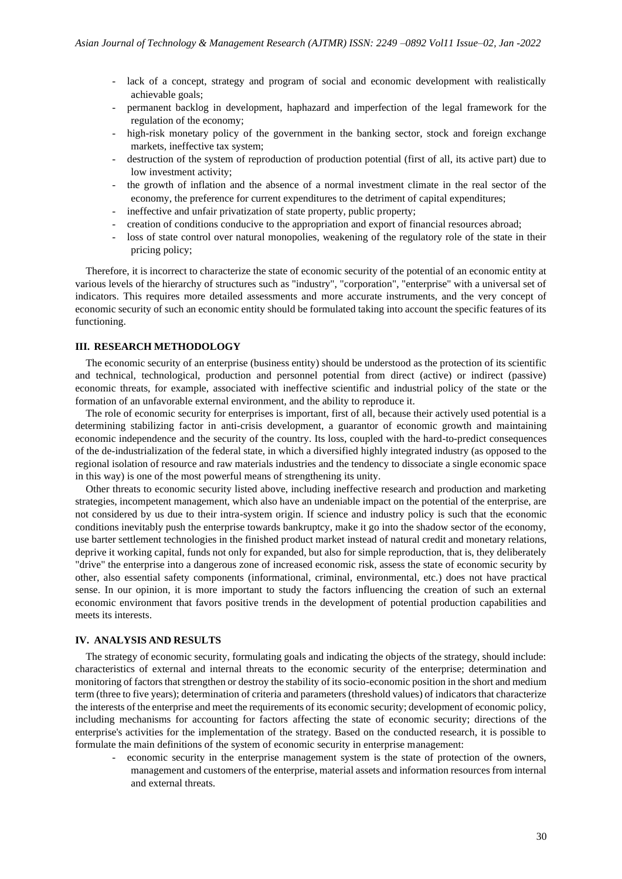- lack of a concept, strategy and program of social and economic development with realistically achievable goals;
- permanent backlog in development, haphazard and imperfection of the legal framework for the regulation of the economy;
- high-risk monetary policy of the government in the banking sector, stock and foreign exchange markets, ineffective tax system;
- destruction of the system of reproduction of production potential (first of all, its active part) due to low investment activity;
- the growth of inflation and the absence of a normal investment climate in the real sector of the economy, the preference for current expenditures to the detriment of capital expenditures;
- ineffective and unfair privatization of state property, public property;
- creation of conditions conducive to the appropriation and export of financial resources abroad;
- loss of state control over natural monopolies, weakening of the regulatory role of the state in their pricing policy;

Therefore, it is incorrect to characterize the state of economic security of the potential of an economic entity at various levels of the hierarchy of structures such as "industry", "corporation", "enterprise" with a universal set of indicators. This requires more detailed assessments and more accurate instruments, and the very concept of economic security of such an economic entity should be formulated taking into account the specific features of its functioning.

## **III. RESEARCH METHODOLOGY**

The economic security of an enterprise (business entity) should be understood as the protection of its scientific and technical, technological, production and personnel potential from direct (active) or indirect (passive) economic threats, for example, associated with ineffective scientific and industrial policy of the state or the formation of an unfavorable external environment, and the ability to reproduce it.

The role of economic security for enterprises is important, first of all, because their actively used potential is a determining stabilizing factor in anti-crisis development, a guarantor of economic growth and maintaining economic independence and the security of the country. Its loss, coupled with the hard-to-predict consequences of the de-industrialization of the federal state, in which a diversified highly integrated industry (as opposed to the regional isolation of resource and raw materials industries and the tendency to dissociate a single economic space in this way) is one of the most powerful means of strengthening its unity.

Other threats to economic security listed above, including ineffective research and production and marketing strategies, incompetent management, which also have an undeniable impact on the potential of the enterprise, are not considered by us due to their intra-system origin. If science and industry policy is such that the economic conditions inevitably push the enterprise towards bankruptcy, make it go into the shadow sector of the economy, use barter settlement technologies in the finished product market instead of natural credit and monetary relations, deprive it working capital, funds not only for expanded, but also for simple reproduction, that is, they deliberately "drive" the enterprise into a dangerous zone of increased economic risk, assess the state of economic security by other, also essential safety components (informational, criminal, environmental, etc.) does not have practical sense. In our opinion, it is more important to study the factors influencing the creation of such an external economic environment that favors positive trends in the development of potential production capabilities and meets its interests.

### **IV. ANALYSIS AND RESULTS**

The strategy of economic security, formulating goals and indicating the objects of the strategy, should include: characteristics of external and internal threats to the economic security of the enterprise; determination and monitoring of factors that strengthen or destroy the stability of its socio-economic position in the short and medium term (three to five years); determination of criteria and parameters (threshold values) of indicators that characterize the interests of the enterprise and meet the requirements of its economic security; development of economic policy, including mechanisms for accounting for factors affecting the state of economic security; directions of the enterprise's activities for the implementation of the strategy. Based on the conducted research, it is possible to formulate the main definitions of the system of economic security in enterprise management:

- economic security in the enterprise management system is the state of protection of the owners, management and customers of the enterprise, material assets and information resources from internal and external threats.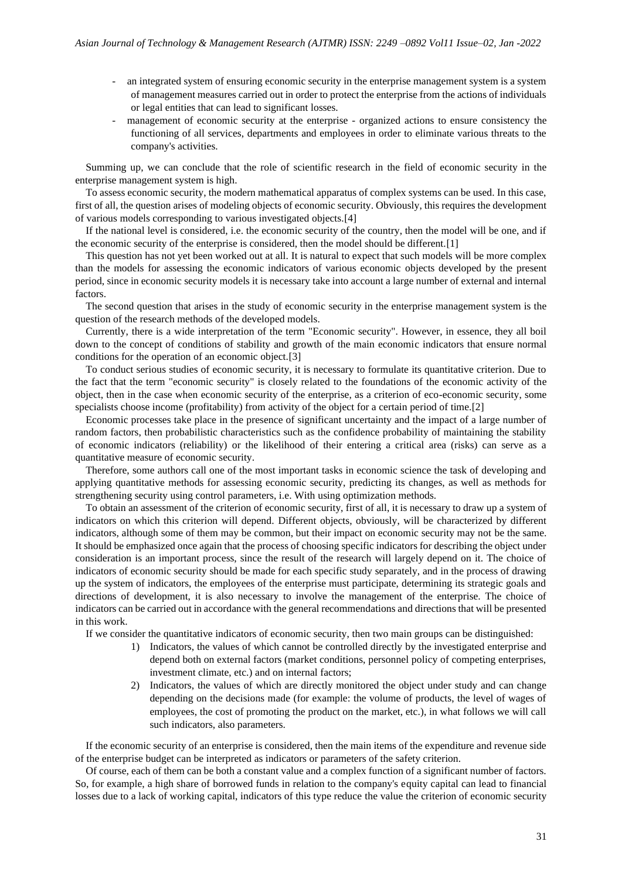- an integrated system of ensuring economic security in the enterprise management system is a system of management measures carried out in order to protect the enterprise from the actions of individuals or legal entities that can lead to significant losses.
- management of economic security at the enterprise organized actions to ensure consistency the functioning of all services, departments and employees in order to eliminate various threats to the company's activities.

Summing up, we can conclude that the role of scientific research in the field of economic security in the enterprise management system is high.

To assess economic security, the modern mathematical apparatus of complex systems can be used. In this case, first of all, the question arises of modeling objects of economic security. Obviously, this requires the development of various models corresponding to various investigated objects.[4]

If the national level is considered, i.e. the economic security of the country, then the model will be one, and if the economic security of the enterprise is considered, then the model should be different.[1]

This question has not yet been worked out at all. It is natural to expect that such models will be more complex than the models for assessing the economic indicators of various economic objects developed by the present period, since in economic security models it is necessary take into account a large number of external and internal factors.

The second question that arises in the study of economic security in the enterprise management system is the question of the research methods of the developed models.

Currently, there is a wide interpretation of the term "Economic security". However, in essence, they all boil down to the concept of conditions of stability and growth of the main economic indicators that ensure normal conditions for the operation of an economic object.[3]

To conduct serious studies of economic security, it is necessary to formulate its quantitative criterion. Due to the fact that the term "economic security" is closely related to the foundations of the economic activity of the object, then in the case when economic security of the enterprise, as a criterion of eco-economic security, some specialists choose income (profitability) from activity of the object for a certain period of time.[2]

Economic processes take place in the presence of significant uncertainty and the impact of a large number of random factors, then probabilistic characteristics such as the confidence probability of maintaining the stability of economic indicators (reliability) or the likelihood of their entering a critical area (risks) can serve as a quantitative measure of economic security.

Therefore, some authors call one of the most important tasks in economic science the task of developing and applying quantitative methods for assessing economic security, predicting its changes, as well as methods for strengthening security using control parameters, i.e. With using optimization methods.

To obtain an assessment of the criterion of economic security, first of all, it is necessary to draw up a system of indicators on which this criterion will depend. Different objects, obviously, will be characterized by different indicators, although some of them may be common, but their impact on economic security may not be the same. It should be emphasized once again that the process of choosing specific indicators for describing the object under consideration is an important process, since the result of the research will largely depend on it. The choice of indicators of economic security should be made for each specific study separately, and in the process of drawing up the system of indicators, the employees of the enterprise must participate, determining its strategic goals and directions of development, it is also necessary to involve the management of the enterprise. The choice of indicators can be carried out in accordance with the general recommendations and directions that will be presented in this work.

If we consider the quantitative indicators of economic security, then two main groups can be distinguished:

- 1) Indicators, the values of which cannot be controlled directly by the investigated enterprise and depend both on external factors (market conditions, personnel policy of competing enterprises, investment climate, etc.) and on internal factors;
- 2) Indicators, the values of which are directly monitored the object under study and can change depending on the decisions made (for example: the volume of products, the level of wages of employees, the cost of promoting the product on the market, etc.), in what follows we will call such indicators, also parameters.

If the economic security of an enterprise is considered, then the main items of the expenditure and revenue side of the enterprise budget can be interpreted as indicators or parameters of the safety criterion.

Of course, each of them can be both a constant value and a complex function of a significant number of factors. So, for example, a high share of borrowed funds in relation to the company's equity capital can lead to financial losses due to a lack of working capital, indicators of this type reduce the value the criterion of economic security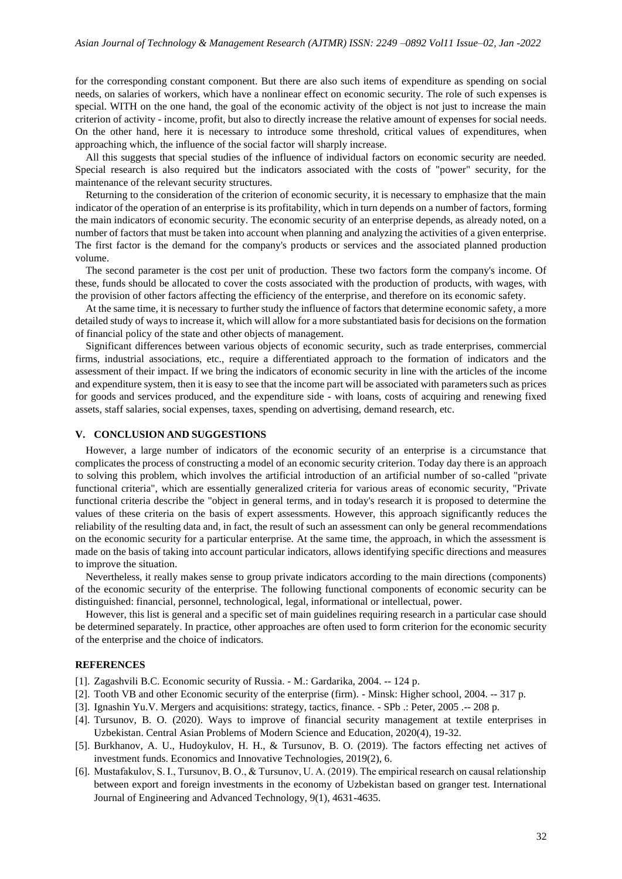for the corresponding constant component. But there are also such items of expenditure as spending on social needs, on salaries of workers, which have a nonlinear effect on economic security. The role of such expenses is special. WITH on the one hand, the goal of the economic activity of the object is not just to increase the main criterion of activity - income, profit, but also to directly increase the relative amount of expenses for social needs. On the other hand, here it is necessary to introduce some threshold, critical values of expenditures, when approaching which, the influence of the social factor will sharply increase.

All this suggests that special studies of the influence of individual factors on economic security are needed. Special research is also required but the indicators associated with the costs of "power" security, for the maintenance of the relevant security structures.

Returning to the consideration of the criterion of economic security, it is necessary to emphasize that the main indicator of the operation of an enterprise is its profitability, which in turn depends on a number of factors, forming the main indicators of economic security. The economic security of an enterprise depends, as already noted, on a number of factors that must be taken into account when planning and analyzing the activities of a given enterprise. The first factor is the demand for the company's products or services and the associated planned production volume.

The second parameter is the cost per unit of production. These two factors form the company's income. Of these, funds should be allocated to cover the costs associated with the production of products, with wages, with the provision of other factors affecting the efficiency of the enterprise, and therefore on its economic safety.

At the same time, it is necessary to further study the influence of factors that determine economic safety, a more detailed study of ways to increase it, which will allow for a more substantiated basis for decisions on the formation of financial policy of the state and other objects of management.

Significant differences between various objects of economic security, such as trade enterprises, commercial firms, industrial associations, etc., require a differentiated approach to the formation of indicators and the assessment of their impact. If we bring the indicators of economic security in line with the articles of the income and expenditure system, then it is easy to see that the income part will be associated with parameters such as prices for goods and services produced, and the expenditure side - with loans, costs of acquiring and renewing fixed assets, staff salaries, social expenses, taxes, spending on advertising, demand research, etc.

## **V. CONCLUSION AND SUGGESTIONS**

However, a large number of indicators of the economic security of an enterprise is a circumstance that complicates the process of constructing a model of an economic security criterion. Today day there is an approach to solving this problem, which involves the artificial introduction of an artificial number of so-called "private functional criteria", which are essentially generalized criteria for various areas of economic security, "Private functional criteria describe the "object in general terms, and in today's research it is proposed to determine the values of these criteria on the basis of expert assessments. However, this approach significantly reduces the reliability of the resulting data and, in fact, the result of such an assessment can only be general recommendations on the economic security for a particular enterprise. At the same time, the approach, in which the assessment is made on the basis of taking into account particular indicators, allows identifying specific directions and measures to improve the situation.

Nevertheless, it really makes sense to group private indicators according to the main directions (components) of the economic security of the enterprise. The following functional components of economic security can be distinguished: financial, personnel, technological, legal, informational or intellectual, power.

However, this list is general and a specific set of main guidelines requiring research in a particular case should be determined separately. In practice, other approaches are often used to form criterion for the economic security of the enterprise and the choice of indicators.

## **REFERENCES**

- [1]. Zagashvili B.C. Economic security of Russia. M.: Gardarika, 2004. -- 124 p.
- [2]. Tooth VB and other Economic security of the enterprise (firm). Minsk: Higher school, 2004. -- 317 p.
- [3]. Ignashin Yu.V. Mergers and acquisitions: strategy, tactics, finance. SPb .: Peter, 2005 .-- 208 p.
- [4]. Tursunov, B. O. (2020). Ways to improve of financial security management at textile enterprises in Uzbekistan. Central Asian Problems of Modern Science and Education, 2020(4), 19-32.
- [5]. Burkhanov, A. U., Hudoykulov, H. H., & Tursunov, B. O. (2019). The factors effecting net actives of investment funds. Economics and Innovative Technologies, 2019(2), 6.
- [6]. Mustafakulov, S. I., Tursunov, B. O., & Tursunov, U. A. (2019). The empirical research on causal relationship between export and foreign investments in the economy of Uzbekistan based on granger test. International Journal of Engineering and Advanced Technology, 9(1), 4631-4635.